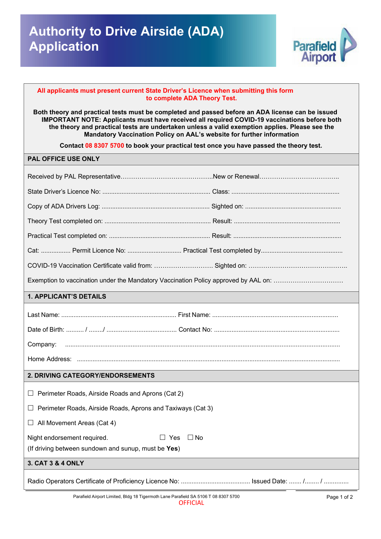

## **All applicants must present current State Driver's Licence when submitting this form to complete ADA Theory Test.**

**Both theory and practical tests IMPORTANT NOTE: Applicants must have received all required COVID-19 vaccinations before both Both theory and practical tests must be completed and passed before an ADA license can be issued the theory and practical tests are undertaken unless a valid exemption applies. Please see the Mandatory Vaccination Policy on AAL's website for further information**

**Contact 08 8307 5700 to book your practical test once you have passed the theory test.**

## **PAL OFFICE USE ONLY**

| Exemption to vaccination under the Mandatory Vaccination Policy approved by AAL on: |  |  |
|-------------------------------------------------------------------------------------|--|--|
| <b>1. APPLICANT'S DETAILS</b>                                                       |  |  |
|                                                                                     |  |  |
|                                                                                     |  |  |
| Company:                                                                            |  |  |
|                                                                                     |  |  |
| 2. DRIVING CATEGORY/ENDORSEMENTS                                                    |  |  |
| Perimeter Roads, Airside Roads and Aprons (Cat 2)<br>Ш                              |  |  |
| Perimeter Roads, Airside Roads, Aprons and Taxiways (Cat 3)                         |  |  |
| $\Box$ All Movement Areas (Cat 4)                                                   |  |  |
| $\Box$ No<br>Night endorsement required.<br>$\Box$ Yes                              |  |  |
| (If driving between sundown and sunup, must be Yes)                                 |  |  |
| 3. CAT 3 & 4 ONLY                                                                   |  |  |
|                                                                                     |  |  |